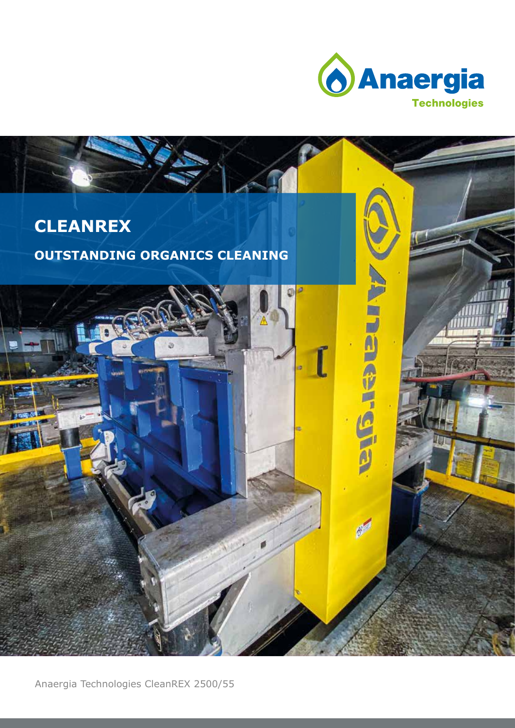

**There represented** 

 $e^{4}$ 

### **CLEANREX**

### **OUTSTANDING ORGANICS CLEANING**

Anaergia Technologies CleanREX 2500/55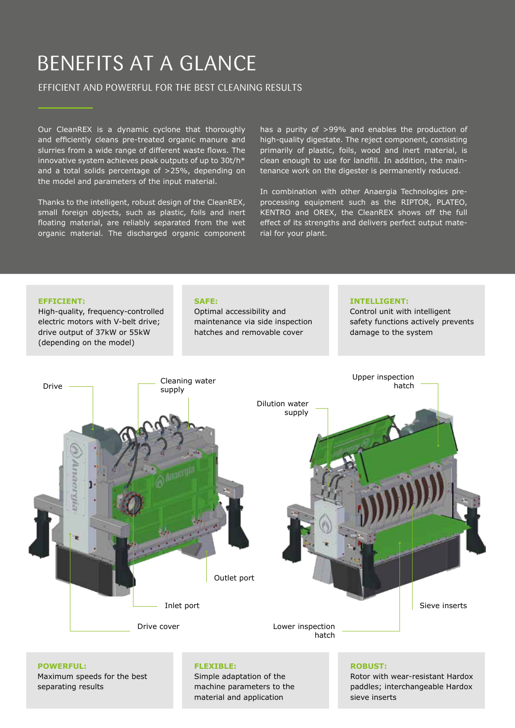## BENEFITS AT A GLANCE

### EFFICIENT AND POWERFUL FOR THE BEST CLEANING RESULTS

Our CleanREX is a dynamic cyclone that thoroughly and efficiently cleans pre-treated organic manure and slurries from a wide range of different waste flows. The innovative system achieves peak outputs of up to 30t/h\* and a total solids percentage of >25%, depending on the model and parameters of the input material.

Thanks to the intelligent, robust design of the CleanREX, small foreign objects, such as plastic, foils and inert floating material, are reliably separated from the wet organic material. The discharged organic component has a purity of >99% and enables the production of high-quality digestate. The reject component, consisting primarily of plastic, foils, wood and inert material, is clean enough to use for landfill. In addition, the maintenance work on the digester is permanently reduced.

In combination with other Anaergia Technologies preprocessing equipment such as the RIPTOR, PLATEO, KENTRO and OREX, the CleanREX shows off the full effect of its strengths and delivers perfect output material for your plant.



Maximum speeds for the best separating results

Simple adaptation of the machine parameters to the material and application

Rotor with wear-resistant Hardox paddles; interchangeable Hardox sieve inserts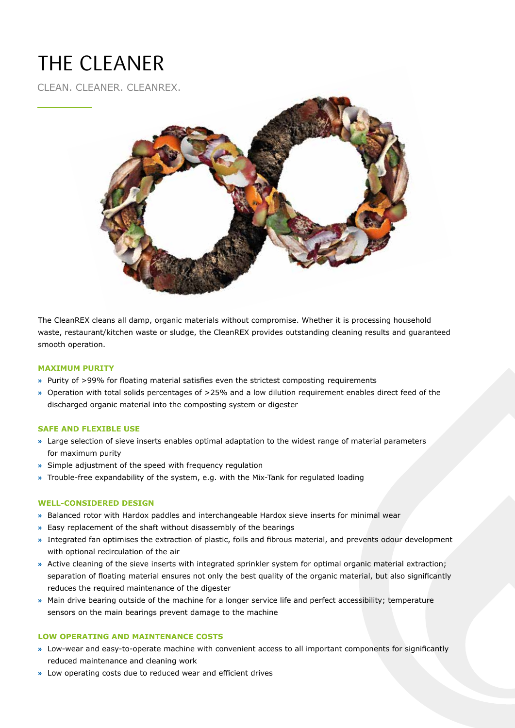# THE CLEANER

CLEAN. CLEANER. CLEANREX.



The CleanREX cleans all damp, organic materials without compromise. Whether it is processing household waste, restaurant/kitchen waste or sludge, the CleanREX provides outstanding cleaning results and guaranteed smooth operation.

#### **MAXIMUM PURITY**

- **»** Purity of >99% for floating material satisfies even the strictest composting requirements
- **»** Operation with total solids percentages of >25% and a low dilution requirement enables direct feed of the discharged organic material into the composting system or digester

#### **SAFE AND FLEXIBLE USE**

- **»** Large selection of sieve inserts enables optimal adaptation to the widest range of material parameters for maximum purity
- **»** Simple adjustment of the speed with frequency regulation
- **»** Trouble-free expandability of the system, e.g. with the Mix-Tank for regulated loading

#### **WELL-CONSIDERED DESIGN**

- **»** Balanced rotor with Hardox paddles and interchangeable Hardox sieve inserts for minimal wear
- **»** Easy replacement of the shaft without disassembly of the bearings
- **»** Integrated fan optimises the extraction of plastic, foils and fibrous material, and prevents odour development with optional recirculation of the air
- **»** Active cleaning of the sieve inserts with integrated sprinkler system for optimal organic material extraction; separation of floating material ensures not only the best quality of the organic material, but also significantly reduces the required maintenance of the digester
- **»** Main drive bearing outside of the machine for a longer service life and perfect accessibility; temperature sensors on the main bearings prevent damage to the machine

#### **LOW OPERATING AND MAINTENANCE COSTS**

- **»** Low-wear and easy-to-operate machine with convenient access to all important components for significantly reduced maintenance and cleaning work
- **»** Low operating costs due to reduced wear and efficient drives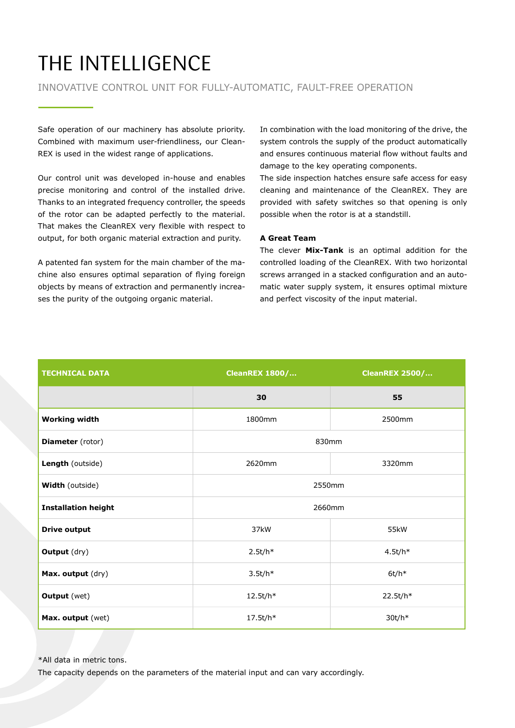# THE INTELLIGENCE

#### INNOVATIVE CONTROL UNIT FOR FULLY-AUTOMATIC, FAULT-FREE OPERATION

Safe operation of our machinery has absolute priority. Combined with maximum user-friendliness, our Clean-REX is used in the widest range of applications.

Our control unit was developed in-house and enables precise monitoring and control of the installed drive. Thanks to an integrated frequency controller, the speeds of the rotor can be adapted perfectly to the material. That makes the CleanREX very flexible with respect to output, for both organic material extraction and purity.

A patented fan system for the main chamber of the machine also ensures optimal separation of flying foreign objects by means of extraction and permanently increases the purity of the outgoing organic material.

In combination with the load monitoring of the drive, the system controls the supply of the product automatically and ensures continuous material flow without faults and damage to the key operating components.

The side inspection hatches ensure safe access for easy cleaning and maintenance of the CleanREX. They are provided with safety switches so that opening is only possible when the rotor is at a standstill.

#### **A Great Team**

The clever **Mix-Tank** is an optimal addition for the controlled loading of the CleanREX. With two horizontal screws arranged in a stacked configuration and an automatic water supply system, it ensures optimal mixture and perfect viscosity of the input material.

| <b>TECHNICAL DATA</b>      | <b>CleanREX 1800/</b> | <b>CleanREX 2500/</b> |
|----------------------------|-----------------------|-----------------------|
|                            | 30                    | 55                    |
| <b>Working width</b>       | 1800mm                | 2500mm                |
| <b>Diameter</b> (rotor)    | 830mm                 |                       |
| Length (outside)           | 2620mm                | 3320mm                |
| Width (outside)            | 2550mm                |                       |
| <b>Installation height</b> | 2660mm                |                       |
| <b>Drive output</b>        | 37kW                  | 55kW                  |
| <b>Output</b> (dry)        | $2.5t/h*$             | $4.5t/h*$             |
| Max. output (dry)          | $3.5t/h*$             | $6t/h*$               |
| <b>Output</b> (wet)        | 12.5t/h*              | 22.5t/h*              |
| Max. output (wet)          | 17.5t/h*              | $30t/h*$              |

\*All data in metric tons.

The capacity depends on the parameters of the material input and can vary accordingly.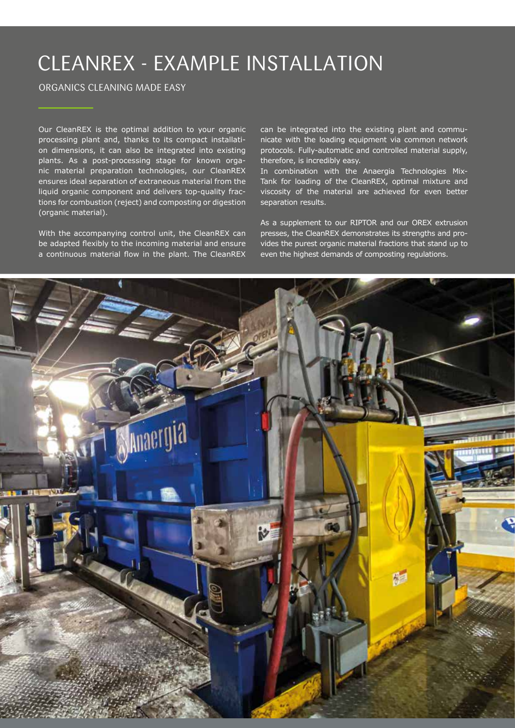## CLEANREX - EXAMPLE INSTALLATION

#### ORGANICS CLEANING MADE EASY

Our CleanREX is the optimal addition to your organic processing plant and, thanks to its compact installation dimensions, it can also be integrated into existing plants. As a post-processing stage for known organic material preparation technologies, our CleanREX ensures ideal separation of extraneous material from the liquid organic component and delivers top-quality fractions for combustion (reject) and composting or digestion (organic material).

With the accompanying control unit, the CleanREX can be adapted flexibly to the incoming material and ensure a continuous material flow in the plant. The CleanREX can be integrated into the existing plant and communicate with the loading equipment via common network protocols. Fully-automatic and controlled material supply, therefore, is incredibly easy.

In combination with the Anaergia Technologies Mix-Tank for loading of the CleanREX, optimal mixture and viscosity of the material are achieved for even better separation results.

As a supplement to our RIPTOR and our OREX extrusion presses, the CleanREX demonstrates its strengths and provides the purest organic material fractions that stand up to even the highest demands of composting regulations.